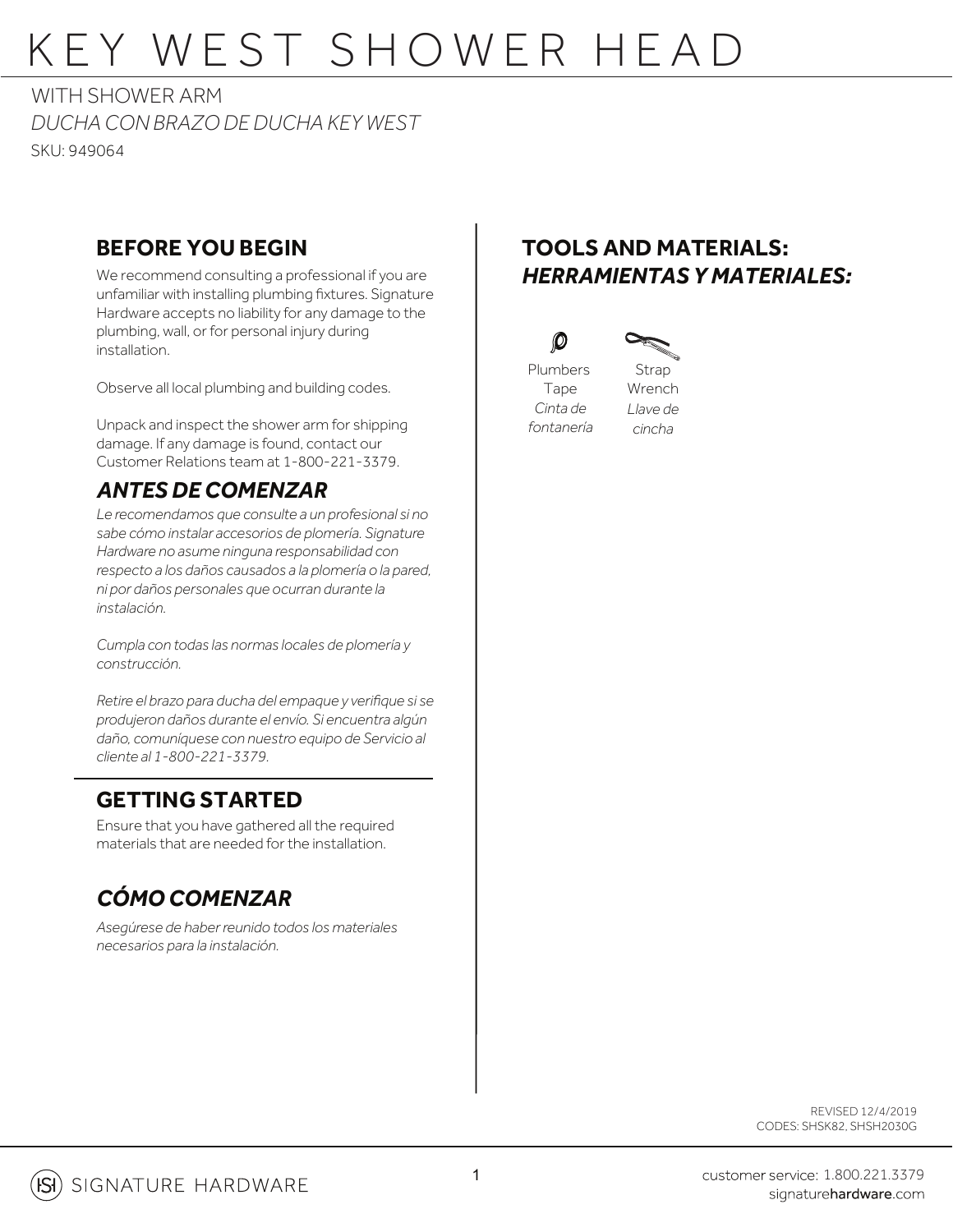# KEY WEST SHOWER HEAD

*DUCHA CON BRAZO DE DUCHA KEY WEST* SKU: 949064 WITH SHOWER ARM

#### **BEFORE YOU BEGIN**

We recommend consulting a professional if you are unfamiliar with installing plumbing fixtures. Signature Hardware accepts no liability for any damage to the plumbing, wall, or for personal injury during installation.

Observe all local plumbing and building codes.

Unpack and inspect the shower arm for shipping damage. If any damage is found, contact our Customer Relations team at 1-800-221-3379.

#### *ANTES DE COMENZAR*

*Le recomendamos que consulte a un profesional si no sabe cómo instalar accesorios de plomería. Signature Hardware no asume ninguna responsabilidad con respecto a los daños causados a la plomería o la pared, ni por daños personales que ocurran durante la instalación.*

*Cumpla con todas las normas locales de plomería y construcción.*

*Retire el brazo para ducha del empaque y verifique si se produjeron daños durante el envío. Si encuentra algún daño, comuníquese con nuestro equipo de Servicio al cliente al 1-800-221-3379.*

#### **GETTING STARTED**

Ensure that you have gathered all the required materials that are needed for the installation.

### *CÓMO COMENZAR*

*Asegúrese de haberreunido todos los materiales necesarios para la instalación.*

### **TOOLS AND MATERIALS:** *HERRAMIENTAS Y MATERIALES:*





Plumbers Tape *Cinta de fontanería*

 $\bm{O}$ 

Strap Wrench *Llave de*

*cincha*

REVISED 12/4/2019 CODES: SHSK82, SHSH2030G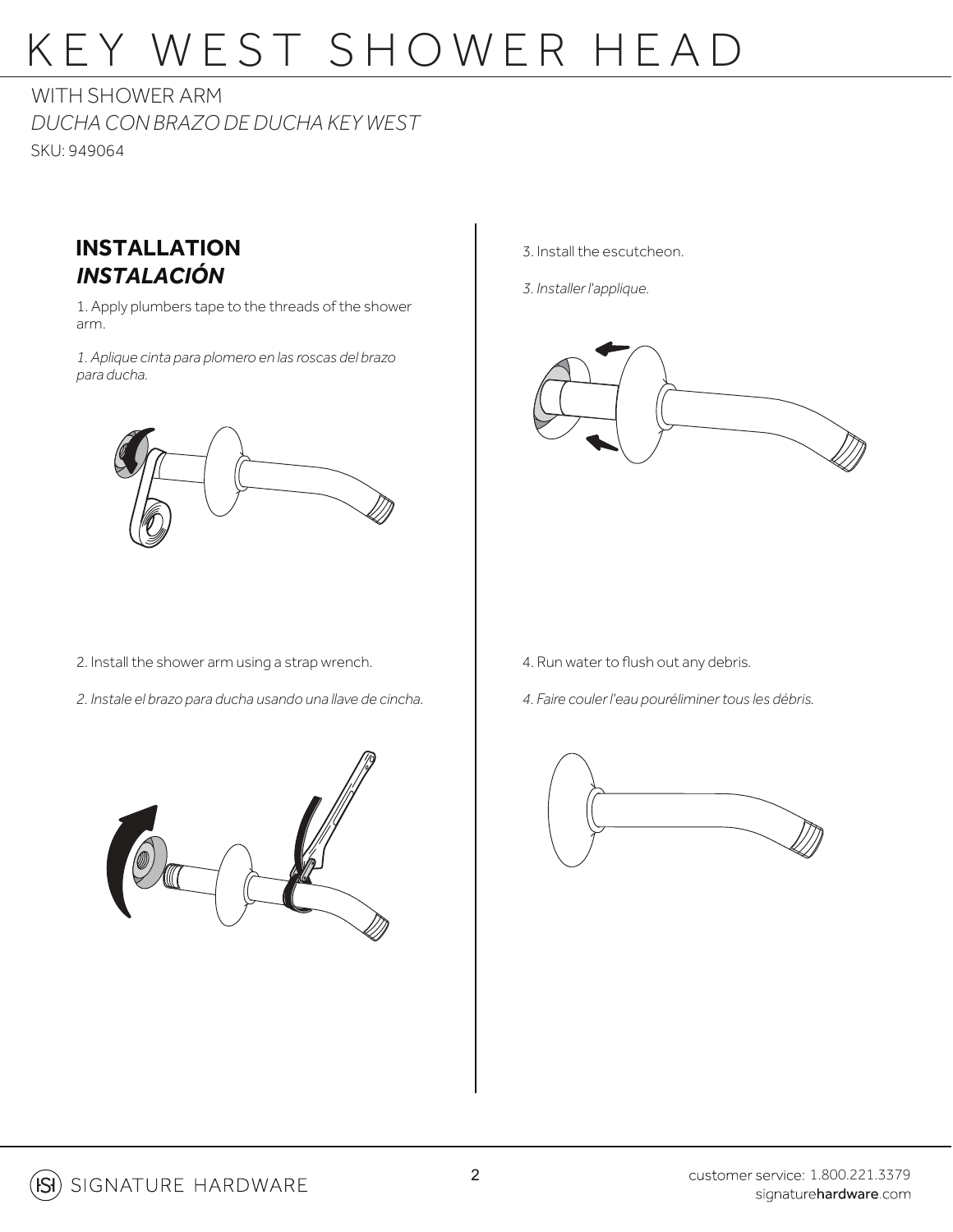# KEY WEST SHOWER HEAD

*DUCHA CON BRAZO DE DUCHA KEY WEST* SKU: 949064 WITH SHOWER ARM



1. Apply plumbers tape to the threads of the shower arm.

*1. Aplique cinta para plomero en las roscas del brazo para ducha.*



- 3. Install the escutcheon.
- *3. Installer l'applique.*



- 2. Install the shower arm using a strap wrench.
- *2. Instale el brazo para ducha usando una llave de cincha.*
- 4. Run water to flush out any debris.
- *4. Faire couler l'eau pouréliminertous les débris.*